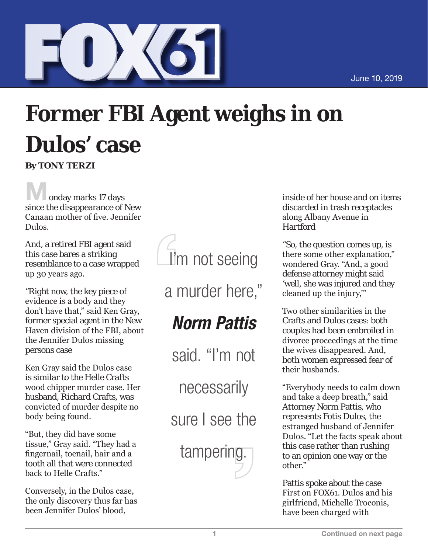

## **Former FBI Agent weighs in on Dulos' case**

**By TONY TERZI**

onday marks 17 days since the disappearance of New Canaan mother of five. Jennifer Dulos.

And, a retired FBI agent said this case bares a striking resemblance to a case wrapped up 30 years ago.

"Right now, the key piece of evidence is a body and they don't have that," said Ken Gray, former special agent in the New Haven division of the FBI, about the Jennifer Dulos missing persons case

Ken Gray said the Dulos case is similar to the Helle Crafts wood chipper murder case. Her husband, Richard Crafts, was convicted of murder despite no body being found.

"But, they did have some tissue," Gray said. "They had a fingernail, toenail, hair and a tooth all that were connected back to Helle Crafts."

Conversely, in the Dulos case, the only discovery thus far has been Jennifer Dulos' blood,



a murder here,"

## *Norm Pattis*

said. "I'm not

necessarily

sure I see the

tampering.

inside of her house and on items discarded in trash receptacles along Albany Avenue in **Hartford** 

"So, the question comes up, is there some other explanation," wondered Gray. "And, a good defense attorney might said 'well, she was injured and they cleaned up the injury,'"

Two other similarities in the Crafts and Dulos cases: both couples had been embroiled in divorce proceedings at the time the wives disappeared. And, both women expressed fear of their husbands.

"Everybody needs to calm down and take a deep breath," said Attorney Norm Pattis, who represents Fotis Dulos, the estranged husband of Jennifer Dulos. "Let the facts speak about this case rather than rushing to an opinion one way or the other."

Pattis spoke about the case First on FOX61. Dulos and his girlfriend, Michelle Troconis, have been charged with